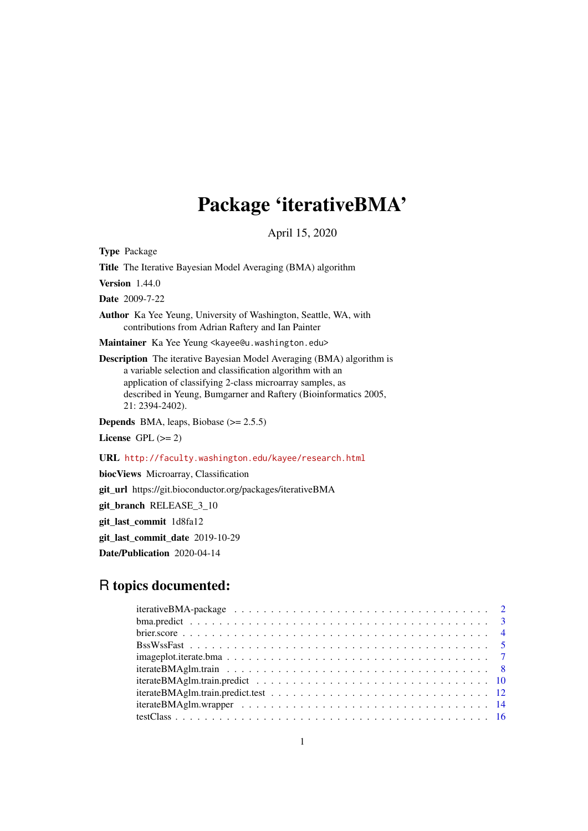## Package 'iterativeBMA'

April 15, 2020

Type Package

Title The Iterative Bayesian Model Averaging (BMA) algorithm

**Version** 1.44.0

Date 2009-7-22

Author Ka Yee Yeung, University of Washington, Seattle, WA, with contributions from Adrian Raftery and Ian Painter

Maintainer Ka Yee Yeung <kayee@u.washington.edu>

Description The iterative Bayesian Model Averaging (BMA) algorithm is a variable selection and classification algorithm with an application of classifying 2-class microarray samples, as described in Yeung, Bumgarner and Raftery (Bioinformatics 2005, 21: 2394-2402).

**Depends** BMA, leaps, Biobase  $(>= 2.5.5)$ License GPL  $(>= 2)$ 

URL <http://faculty.washington.edu/kayee/research.html>

biocViews Microarray, Classification git\_url https://git.bioconductor.org/packages/iterativeBMA git\_branch RELEASE\_3\_10 git\_last\_commit 1d8fa12 git\_last\_commit\_date 2019-10-29 Date/Publication 2020-04-14

## R topics documented: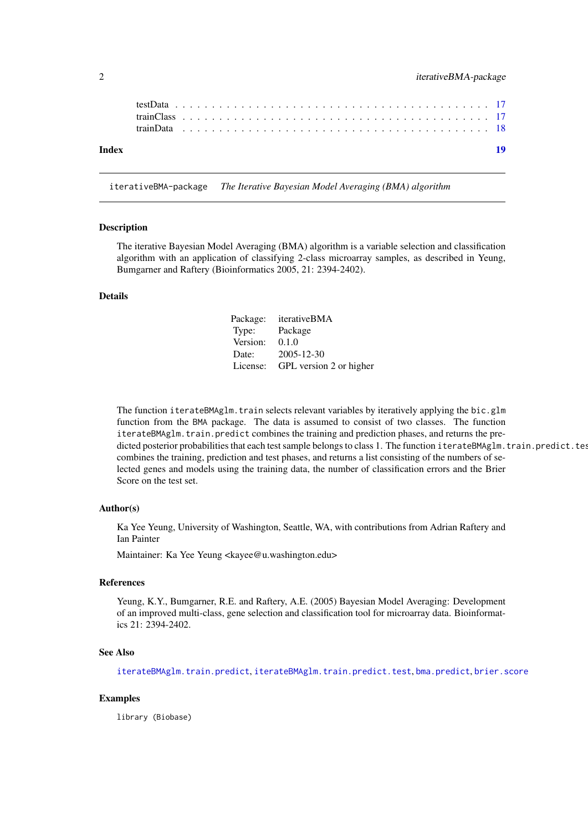<span id="page-1-0"></span>

| Index |  |  |  |  |  |  |  |  |  |  |  |  |  |  |  |  |  |  |  |  |  |  |
|-------|--|--|--|--|--|--|--|--|--|--|--|--|--|--|--|--|--|--|--|--|--|--|
|       |  |  |  |  |  |  |  |  |  |  |  |  |  |  |  |  |  |  |  |  |  |  |
|       |  |  |  |  |  |  |  |  |  |  |  |  |  |  |  |  |  |  |  |  |  |  |
|       |  |  |  |  |  |  |  |  |  |  |  |  |  |  |  |  |  |  |  |  |  |  |

iterativeBMA-package *The Iterative Bayesian Model Averaging (BMA) algorithm*

#### Description

The iterative Bayesian Model Averaging (BMA) algorithm is a variable selection and classification algorithm with an application of classifying 2-class microarray samples, as described in Yeung, Bumgarner and Raftery (Bioinformatics 2005, 21: 2394-2402).

## Details

Package: iterativeBMA Type: Package Version: 0.1.0 Date: 2005-12-30 License: GPL version 2 or higher

The function iterateBMAglm.train selects relevant variables by iteratively applying the bic.glm function from the BMA package. The data is assumed to consist of two classes. The function iterateBMAglm.train.predict combines the training and prediction phases, and returns the predicted posterior probabilities that each test sample belongs to class 1. The function iterateBMAglm.train.predict.tes combines the training, prediction and test phases, and returns a list consisting of the numbers of selected genes and models using the training data, the number of classification errors and the Brier Score on the test set.

#### Author(s)

Ka Yee Yeung, University of Washington, Seattle, WA, with contributions from Adrian Raftery and Ian Painter

Maintainer: Ka Yee Yeung <kayee@u.washington.edu>

## References

Yeung, K.Y., Bumgarner, R.E. and Raftery, A.E. (2005) Bayesian Model Averaging: Development of an improved multi-class, gene selection and classification tool for microarray data. Bioinformatics 21: 2394-2402.

## See Also

[iterateBMAglm.train.predict](#page-9-1), [iterateBMAglm.train.predict.test](#page-11-1), [bma.predict](#page-2-1), [brier.score](#page-3-1)

## Examples

library (Biobase)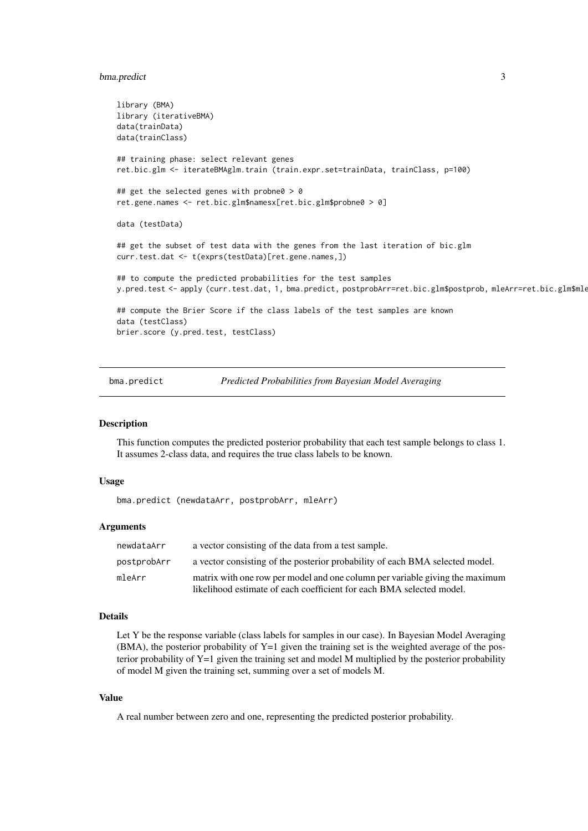#### <span id="page-2-0"></span>bma.predict 3

```
library (BMA)
library (iterativeBMA)
data(trainData)
data(trainClass)
## training phase: select relevant genes
ret.bic.glm <- iterateBMAglm.train (train.expr.set=trainData, trainClass, p=100)
## get the selected genes with probne0 > 0
ret.gene.names <- ret.bic.glm$namesx[ret.bic.glm$probne0 > 0]
data (testData)
## get the subset of test data with the genes from the last iteration of bic.glm
curr.test.dat <- t(exprs(testData)[ret.gene.names,])
## to compute the predicted probabilities for the test samples
y.pred.test <- apply (curr.test.dat, 1, bma.predict, postprobArr=ret.bic.glm$postprob, mleArr=ret.bic.glm$mle)
## compute the Brier Score if the class labels of the test samples are known
data (testClass)
brier.score (y.pred.test, testClass)
```
<span id="page-2-1"></span>bma.predict *Predicted Probabilities from Bayesian Model Averaging*

#### Description

This function computes the predicted posterior probability that each test sample belongs to class 1. It assumes 2-class data, and requires the true class labels to be known.

#### Usage

bma.predict (newdataArr, postprobArr, mleArr)

#### Arguments

| newdataArr  | a vector consisting of the data from a test sample.                                                                                                  |
|-------------|------------------------------------------------------------------------------------------------------------------------------------------------------|
| postprobArr | a vector consisting of the posterior probability of each BMA selected model.                                                                         |
| mleArr      | matrix with one row per model and one column per variable giving the maximum<br>likelihood estimate of each coefficient for each BMA selected model. |

#### Details

Let Y be the response variable (class labels for samples in our case). In Bayesian Model Averaging  $(BMA)$ , the posterior probability of Y=1 given the training set is the weighted average of the posterior probability of  $Y=1$  given the training set and model M multiplied by the posterior probability of model M given the training set, summing over a set of models M.

#### Value

A real number between zero and one, representing the predicted posterior probability.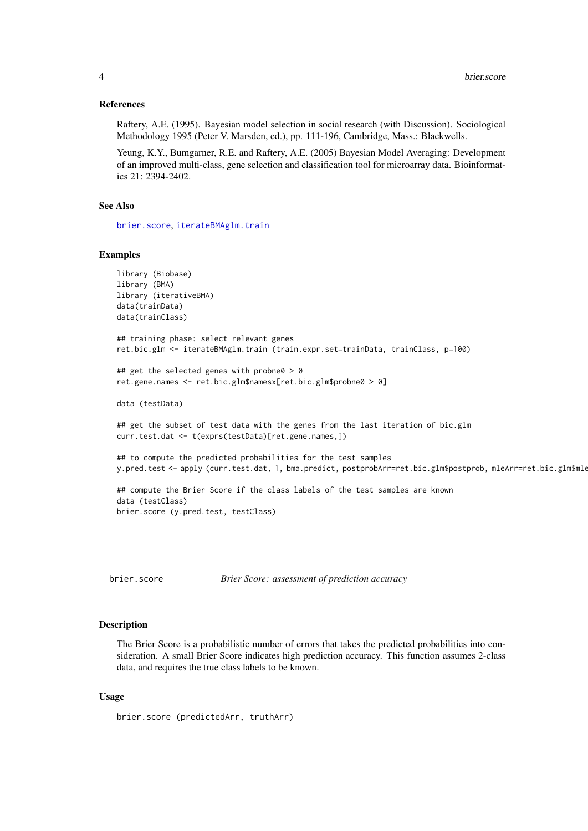#### <span id="page-3-0"></span>References

Raftery, A.E. (1995). Bayesian model selection in social research (with Discussion). Sociological Methodology 1995 (Peter V. Marsden, ed.), pp. 111-196, Cambridge, Mass.: Blackwells.

Yeung, K.Y., Bumgarner, R.E. and Raftery, A.E. (2005) Bayesian Model Averaging: Development of an improved multi-class, gene selection and classification tool for microarray data. Bioinformatics 21: 2394-2402.

## See Also

[brier.score](#page-3-1), [iterateBMAglm.train](#page-7-1)

## Examples

```
library (Biobase)
library (BMA)
library (iterativeBMA)
data(trainData)
data(trainClass)
## training phase: select relevant genes
ret.bic.glm <- iterateBMAglm.train (train.expr.set=trainData, trainClass, p=100)
## get the selected genes with probne0 > 0
ret.gene.names <- ret.bic.glm$namesx[ret.bic.glm$probne0 > 0]
data (testData)
## get the subset of test data with the genes from the last iteration of bic.glm
curr.test.dat <- t(exprs(testData)[ret.gene.names,])
## to compute the predicted probabilities for the test samples
y.pred.test <- apply (curr.test.dat, 1, bma.predict, postprobArr=ret.bic.glm$postprob, mleArr=ret.bic.glm$mle)
## compute the Brier Score if the class labels of the test samples are known
data (testClass)
brier.score (y.pred.test, testClass)
```
<span id="page-3-1"></span>brier.score *Brier Score: assessment of prediction accuracy*

## Description

The Brier Score is a probabilistic number of errors that takes the predicted probabilities into consideration. A small Brier Score indicates high prediction accuracy. This function assumes 2-class data, and requires the true class labels to be known.

## Usage

```
brier.score (predictedArr, truthArr)
```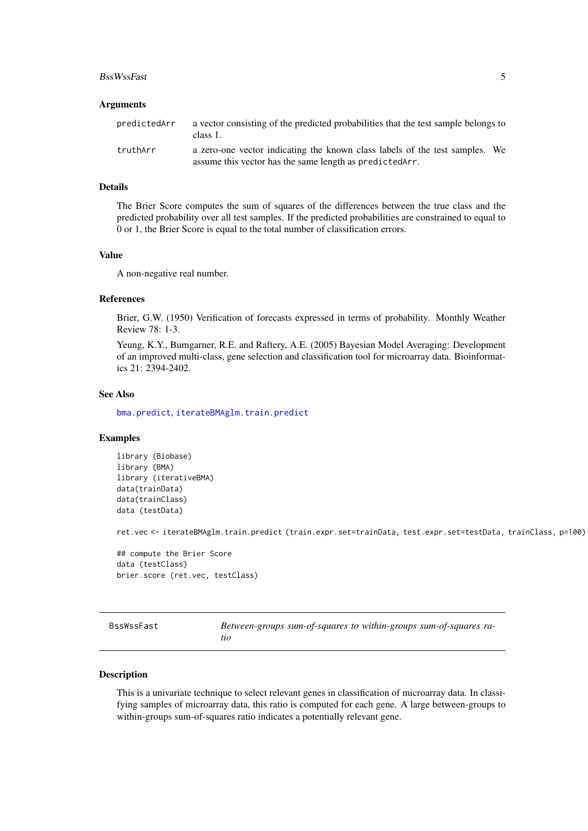#### <span id="page-4-0"></span>BssWssFast 5

#### Arguments

| predictedArr | a vector consisting of the predicted probabilities that the test sample belongs to<br>class 1.                                          |  |
|--------------|-----------------------------------------------------------------------------------------------------------------------------------------|--|
| truthArr     | a zero-one vector indicating the known class labels of the test samples. We<br>assume this vector has the same length as predicted Arr. |  |
|              |                                                                                                                                         |  |

## Details

The Brier Score computes the sum of squares of the differences between the true class and the predicted probability over all test samples. If the predicted probabilities are constrained to equal to 0 or 1, the Brier Score is equal to the total number of classification errors.

## Value

A non-negative real number.

## References

Brier, G.W. (1950) Verification of forecasts expressed in terms of probability. Monthly Weather Review 78: 1-3.

Yeung, K.Y., Bumgarner, R.E. and Raftery, A.E. (2005) Bayesian Model Averaging: Development of an improved multi-class, gene selection and classification tool for microarray data. Bioinformatics 21: 2394-2402.

## See Also

[bma.predict](#page-2-1), [iterateBMAglm.train.predict](#page-9-1)

## Examples

```
library (Biobase)
library (BMA)
library (iterativeBMA)
data(trainData)
data(trainClass)
data (testData)
```
ret.vec <- iterateBMAglm.train.predict (train.expr.set=trainData, test.expr.set=testData, trainClass, p=100)

```
## compute the Brier Score
data (testClass)
brier.score (ret.vec, testClass)
```
<span id="page-4-1"></span>

| BssWssFast |  | Between-groups sum-of-squares to within-groups sum-of-squares ra- |
|------------|--|-------------------------------------------------------------------|
|            |  |                                                                   |

## Description

This is a univariate technique to select relevant genes in classification of microarray data. In classifying samples of microarray data, this ratio is computed for each gene. A large between-groups to within-groups sum-of-squares ratio indicates a potentially relevant gene.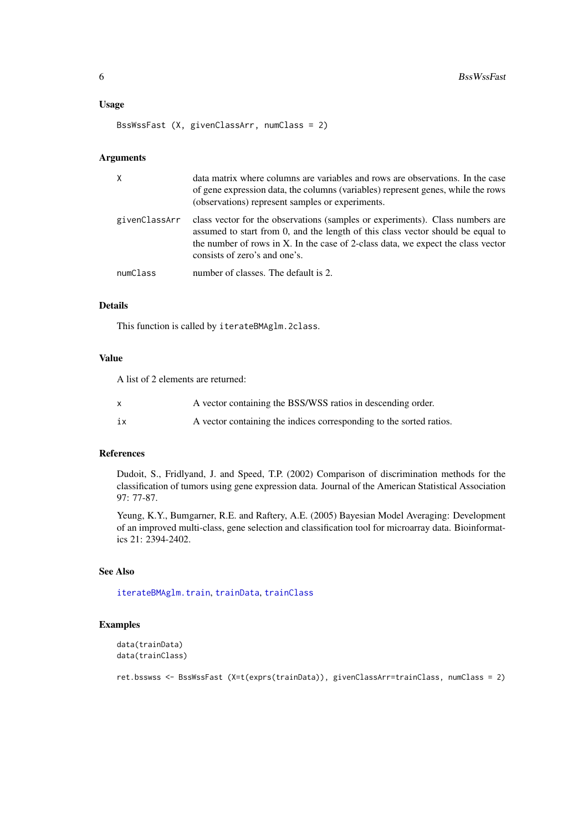#### <span id="page-5-0"></span>Usage

BssWssFast (X, givenClassArr, numClass = 2)

#### Arguments

| $\times$      | data matrix where columns are variables and rows are observations. In the case<br>of gene expression data, the columns (variables) represent genes, while the rows<br>(observations) represent samples or experiments.                                                                |
|---------------|---------------------------------------------------------------------------------------------------------------------------------------------------------------------------------------------------------------------------------------------------------------------------------------|
| givenClassArr | class vector for the observations (samples or experiments). Class numbers are<br>assumed to start from 0, and the length of this class vector should be equal to<br>the number of rows in X. In the case of 2-class data, we expect the class vector<br>consists of zero's and one's. |
| numClass      | number of classes. The default is 2.                                                                                                                                                                                                                                                  |

## Details

This function is called by iterateBMAglm.2class.

## Value

A list of 2 elements are returned:

| X  | A vector containing the BSS/WSS ratios in descending order.         |
|----|---------------------------------------------------------------------|
| 1X | A vector containing the indices corresponding to the sorted ratios. |

## References

Dudoit, S., Fridlyand, J. and Speed, T.P. (2002) Comparison of discrimination methods for the classification of tumors using gene expression data. Journal of the American Statistical Association 97: 77-87.

Yeung, K.Y., Bumgarner, R.E. and Raftery, A.E. (2005) Bayesian Model Averaging: Development of an improved multi-class, gene selection and classification tool for microarray data. Bioinformatics 21: 2394-2402.

## See Also

[iterateBMAglm.train](#page-7-1), [trainData](#page-17-1), [trainClass](#page-16-1)

## Examples

```
data(trainData)
data(trainClass)
```
ret.bsswss <- BssWssFast (X=t(exprs(trainData)), givenClassArr=trainClass, numClass = 2)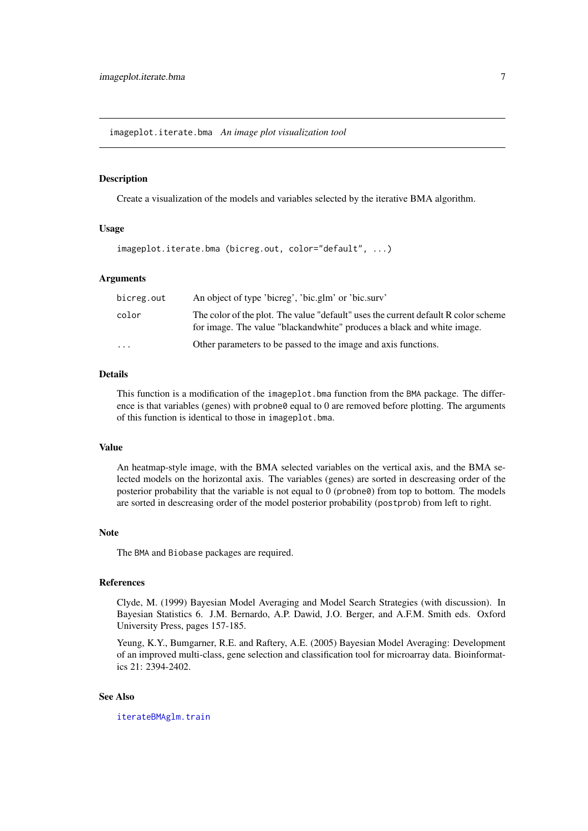<span id="page-6-0"></span>imageplot.iterate.bma *An image plot visualization tool*

## Description

Create a visualization of the models and variables selected by the iterative BMA algorithm.

## Usage

```
imageplot.iterate.bma (bicreg.out, color="default", ...)
```
## Arguments

| bicreg.out              | An object of type 'bicreg', 'bic.glm' or 'bic.surv'                                                                                                          |
|-------------------------|--------------------------------------------------------------------------------------------------------------------------------------------------------------|
| color                   | The color of the plot. The value "default" uses the current default R color scheme<br>for image. The value "blackandwhite" produces a black and white image. |
| $\cdot$ $\cdot$ $\cdot$ | Other parameters to be passed to the image and axis functions.                                                                                               |

## Details

This function is a modification of the imageplot.bma function from the BMA package. The difference is that variables (genes) with probne0 equal to 0 are removed before plotting. The arguments of this function is identical to those in imageplot.bma.

## Value

An heatmap-style image, with the BMA selected variables on the vertical axis, and the BMA selected models on the horizontal axis. The variables (genes) are sorted in descreasing order of the posterior probability that the variable is not equal to 0 (probne0) from top to bottom. The models are sorted in descreasing order of the model posterior probability (postprob) from left to right.

#### Note

The BMA and Biobase packages are required.

## References

Clyde, M. (1999) Bayesian Model Averaging and Model Search Strategies (with discussion). In Bayesian Statistics 6. J.M. Bernardo, A.P. Dawid, J.O. Berger, and A.F.M. Smith eds. Oxford University Press, pages 157-185.

Yeung, K.Y., Bumgarner, R.E. and Raftery, A.E. (2005) Bayesian Model Averaging: Development of an improved multi-class, gene selection and classification tool for microarray data. Bioinformatics 21: 2394-2402.

## See Also

[iterateBMAglm.train](#page-7-1)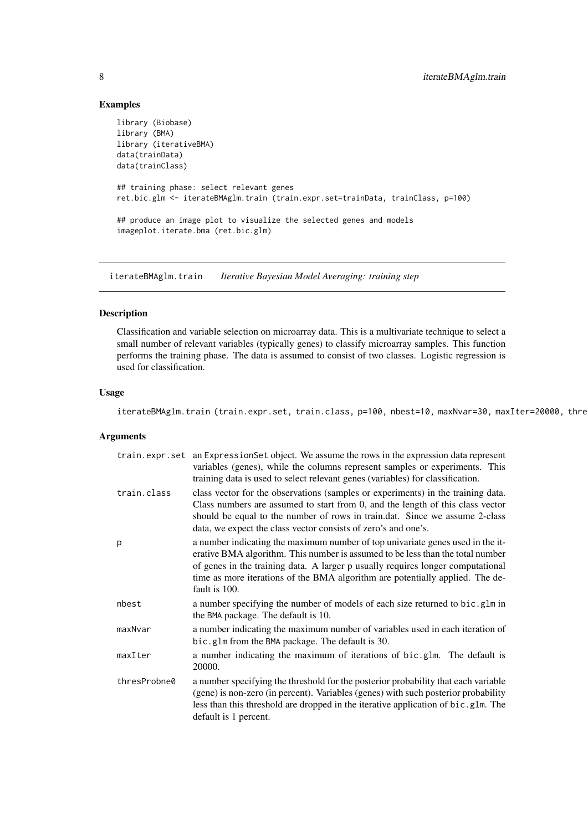## Examples

```
library (Biobase)
library (BMA)
library (iterativeBMA)
data(trainData)
data(trainClass)
## training phase: select relevant genes
ret.bic.glm <- iterateBMAglm.train (train.expr.set=trainData, trainClass, p=100)
## produce an image plot to visualize the selected genes and models
imageplot.iterate.bma (ret.bic.glm)
```
<span id="page-7-1"></span>iterateBMAglm.train *Iterative Bayesian Model Averaging: training step*

## Description

Classification and variable selection on microarray data. This is a multivariate technique to select a small number of relevant variables (typically genes) to classify microarray samples. This function performs the training phase. The data is assumed to consist of two classes. Logistic regression is used for classification.

#### Usage

iterateBMAglm.train (train.expr.set, train.class, p=100, nbest=10, maxNvar=30, maxIter=20000, thre

## Arguments

|              | train.expr.set an ExpressionSet object. We assume the rows in the expression data represent<br>variables (genes), while the columns represent samples or experiments. This<br>training data is used to select relevant genes (variables) for classification.                                                                                          |
|--------------|-------------------------------------------------------------------------------------------------------------------------------------------------------------------------------------------------------------------------------------------------------------------------------------------------------------------------------------------------------|
| train.class  | class vector for the observations (samples or experiments) in the training data.<br>Class numbers are assumed to start from 0, and the length of this class vector<br>should be equal to the number of rows in train.dat. Since we assume 2-class<br>data, we expect the class vector consists of zero's and one's.                                   |
| p            | a number indicating the maximum number of top univariate genes used in the it-<br>erative BMA algorithm. This number is assumed to be less than the total number<br>of genes in the training data. A larger p usually requires longer computational<br>time as more iterations of the BMA algorithm are potentially applied. The de-<br>fault is 100. |
| nbest        | a number specifying the number of models of each size returned to bic.glm in<br>the BMA package. The default is 10.                                                                                                                                                                                                                                   |
| maxNvar      | a number indicating the maximum number of variables used in each iteration of<br>bic.glm from the BMA package. The default is 30.                                                                                                                                                                                                                     |
| maxIter      | a number indicating the maximum of iterations of bic.glm. The default is<br>20000.                                                                                                                                                                                                                                                                    |
| thresProbne0 | a number specifying the threshold for the posterior probability that each variable<br>(gene) is non-zero (in percent). Variables (genes) with such posterior probability<br>less than this threshold are dropped in the iterative application of bic.glm. The<br>default is 1 percent.                                                                |

<span id="page-7-0"></span>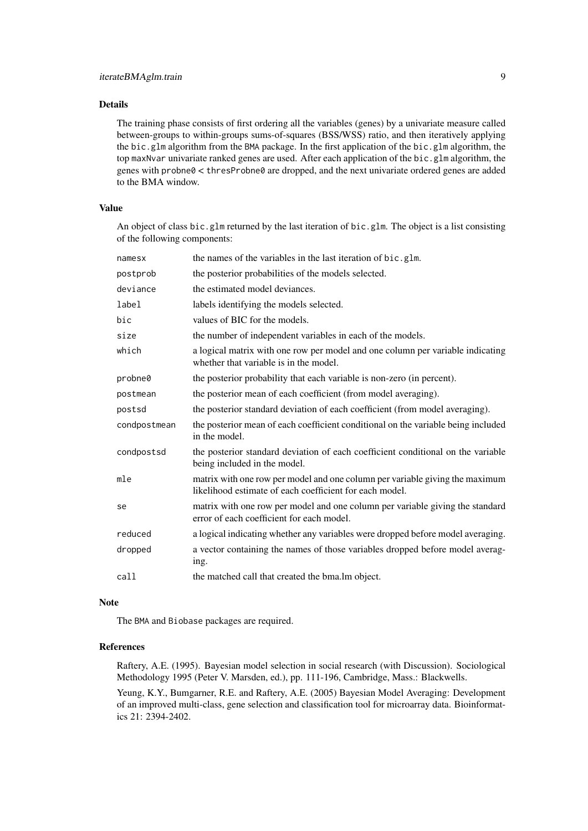The training phase consists of first ordering all the variables (genes) by a univariate measure called between-groups to within-groups sums-of-squares (BSS/WSS) ratio, and then iteratively applying the bic.glm algorithm from the BMA package. In the first application of the bic.glm algorithm, the top maxNvar univariate ranked genes are used. After each application of the bic.glm algorithm, the genes with probne0 < thresProbne0 are dropped, and the next univariate ordered genes are added to the BMA window.

## Value

An object of class bic.glm returned by the last iteration of bic.glm. The object is a list consisting of the following components:

| namesx       | the names of the variables in the last iteration of bic.glm.                                                                            |
|--------------|-----------------------------------------------------------------------------------------------------------------------------------------|
| postprob     | the posterior probabilities of the models selected.                                                                                     |
| deviance     | the estimated model deviances.                                                                                                          |
| label        | labels identifying the models selected.                                                                                                 |
| bic          | values of BIC for the models.                                                                                                           |
| size         | the number of independent variables in each of the models.                                                                              |
| which        | a logical matrix with one row per model and one column per variable indicating<br>whether that variable is in the model.                |
| probne0      | the posterior probability that each variable is non-zero (in percent).                                                                  |
| postmean     | the posterior mean of each coefficient (from model averaging).                                                                          |
| postsd       | the posterior standard deviation of each coefficient (from model averaging).                                                            |
| condpostmean | the posterior mean of each coefficient conditional on the variable being included<br>in the model.                                      |
| condpostsd   | the posterior standard deviation of each coefficient conditional on the variable<br>being included in the model.                        |
| mle          | matrix with one row per model and one column per variable giving the maximum<br>likelihood estimate of each coefficient for each model. |
| se           | matrix with one row per model and one column per variable giving the standard<br>error of each coefficient for each model.              |
| reduced      | a logical indicating whether any variables were dropped before model averaging.                                                         |
| dropped      | a vector containing the names of those variables dropped before model averag-<br>ing.                                                   |
| call         | the matched call that created the bma. Im object.                                                                                       |

#### Note

The BMA and Biobase packages are required.

## References

Raftery, A.E. (1995). Bayesian model selection in social research (with Discussion). Sociological Methodology 1995 (Peter V. Marsden, ed.), pp. 111-196, Cambridge, Mass.: Blackwells.

Yeung, K.Y., Bumgarner, R.E. and Raftery, A.E. (2005) Bayesian Model Averaging: Development of an improved multi-class, gene selection and classification tool for microarray data. Bioinformatics 21: 2394-2402.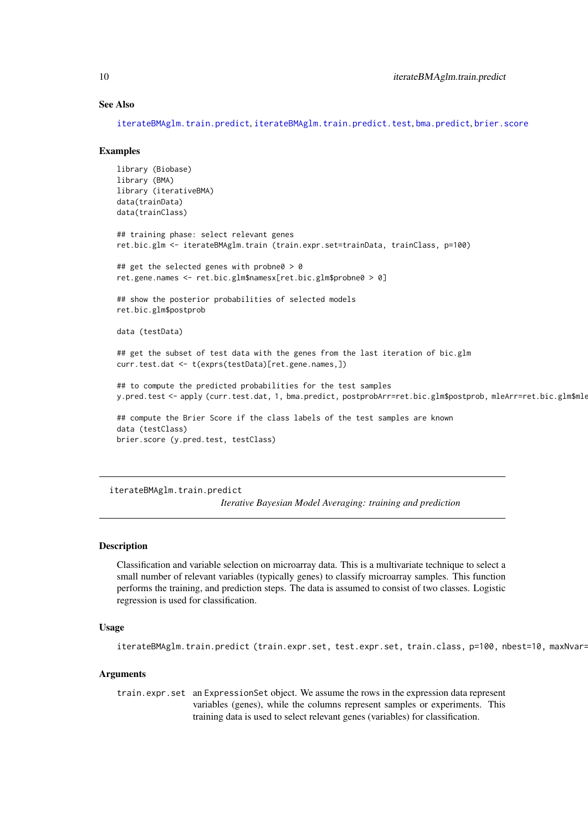#### See Also

[iterateBMAglm.train.predict](#page-9-1), [iterateBMAglm.train.predict.test](#page-11-1), [bma.predict](#page-2-1), [brier.score](#page-3-1)

#### Examples

```
library (Biobase)
library (BMA)
library (iterativeBMA)
data(trainData)
data(trainClass)
## training phase: select relevant genes
ret.bic.glm <- iterateBMAglm.train (train.expr.set=trainData, trainClass, p=100)
## get the selected genes with probne0 > 0
ret.gene.names <- ret.bic.glm$namesx[ret.bic.glm$probne0 > 0]
## show the posterior probabilities of selected models
ret.bic.glm$postprob
data (testData)
## get the subset of test data with the genes from the last iteration of bic.glm
curr.test.dat <- t(exprs(testData)[ret.gene.names,])
## to compute the predicted probabilities for the test samples
y.pred.test <- apply (curr.test.dat, 1, bma.predict, postprobArr=ret.bic.glm$postprob, mleArr=ret.bic.glm$mle)
## compute the Brier Score if the class labels of the test samples are known
data (testClass)
brier.score (y.pred.test, testClass)
```
<span id="page-9-1"></span>iterateBMAglm.train.predict

*Iterative Bayesian Model Averaging: training and prediction*

## Description

Classification and variable selection on microarray data. This is a multivariate technique to select a small number of relevant variables (typically genes) to classify microarray samples. This function performs the training, and prediction steps. The data is assumed to consist of two classes. Logistic regression is used for classification.

## Usage

iterateBMAglm.train.predict (train.expr.set, test.expr.set, train.class, p=100, nbest=10, maxNvar=

## Arguments

train.expr.set an ExpressionSet object. We assume the rows in the expression data represent variables (genes), while the columns represent samples or experiments. This training data is used to select relevant genes (variables) for classification.

<span id="page-9-0"></span>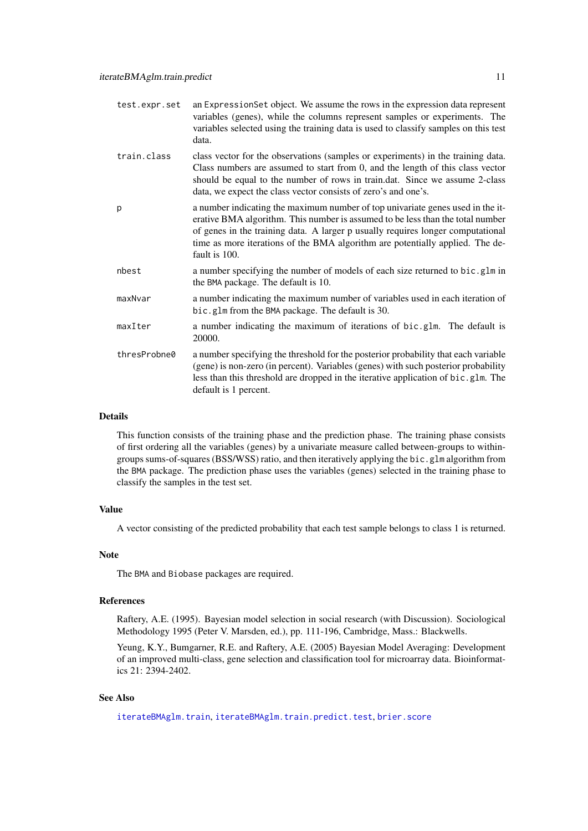<span id="page-10-0"></span>

| test.expr.set | an ExpressionSet object. We assume the rows in the expression data represent<br>variables (genes), while the columns represent samples or experiments. The<br>variables selected using the training data is used to classify samples on this test<br>data.                                                                                            |
|---------------|-------------------------------------------------------------------------------------------------------------------------------------------------------------------------------------------------------------------------------------------------------------------------------------------------------------------------------------------------------|
| train.class   | class vector for the observations (samples or experiments) in the training data.<br>Class numbers are assumed to start from 0, and the length of this class vector<br>should be equal to the number of rows in train.dat. Since we assume 2-class<br>data, we expect the class vector consists of zero's and one's.                                   |
| p             | a number indicating the maximum number of top univariate genes used in the it-<br>erative BMA algorithm. This number is assumed to be less than the total number<br>of genes in the training data. A larger p usually requires longer computational<br>time as more iterations of the BMA algorithm are potentially applied. The de-<br>fault is 100. |
| nbest         | a number specifying the number of models of each size returned to bic.glm in<br>the BMA package. The default is 10.                                                                                                                                                                                                                                   |
| maxNvar       | a number indicating the maximum number of variables used in each iteration of<br>bic.glm from the BMA package. The default is 30.                                                                                                                                                                                                                     |
| maxIter       | a number indicating the maximum of iterations of bic.glm. The default is<br>20000.                                                                                                                                                                                                                                                                    |
| thresProbne0  | a number specifying the threshold for the posterior probability that each variable<br>(gene) is non-zero (in percent). Variables (genes) with such posterior probability<br>less than this threshold are dropped in the iterative application of bic.glm. The<br>default is 1 percent.                                                                |

This function consists of the training phase and the prediction phase. The training phase consists of first ordering all the variables (genes) by a univariate measure called between-groups to withingroups sums-of-squares (BSS/WSS) ratio, and then iteratively applying the bic.glm algorithm from the BMA package. The prediction phase uses the variables (genes) selected in the training phase to classify the samples in the test set.

#### Value

A vector consisting of the predicted probability that each test sample belongs to class 1 is returned.

## Note

The BMA and Biobase packages are required.

#### References

Raftery, A.E. (1995). Bayesian model selection in social research (with Discussion). Sociological Methodology 1995 (Peter V. Marsden, ed.), pp. 111-196, Cambridge, Mass.: Blackwells.

Yeung, K.Y., Bumgarner, R.E. and Raftery, A.E. (2005) Bayesian Model Averaging: Development of an improved multi-class, gene selection and classification tool for microarray data. Bioinformatics 21: 2394-2402.

## See Also

[iterateBMAglm.train](#page-7-1), [iterateBMAglm.train.predict.test](#page-11-1), [brier.score](#page-3-1)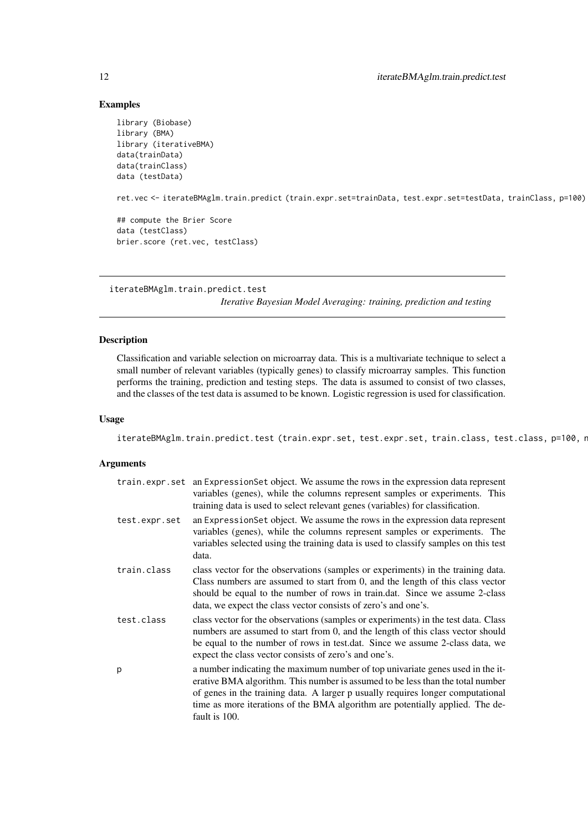## Examples

```
library (Biobase)
library (BMA)
library (iterativeBMA)
data(trainData)
data(trainClass)
data (testData)
ret.vec <- iterateBMAglm.train.predict (train.expr.set=trainData, test.expr.set=testData, trainClass, p=100)
## compute the Brier Score
data (testClass)
brier.score (ret.vec, testClass)
```

```
iterateBMAglm.train.predict.test
```
*Iterative Bayesian Model Averaging: training, prediction and testing*

## Description

Classification and variable selection on microarray data. This is a multivariate technique to select a small number of relevant variables (typically genes) to classify microarray samples. This function performs the training, prediction and testing steps. The data is assumed to consist of two classes, and the classes of the test data is assumed to be known. Logistic regression is used for classification.

## Usage

iterateBMAglm.train.predict.test (train.expr.set, test.expr.set, train.class, test.class, p=100, r

## Arguments

|               | train.expr.set an Expression Set object. We assume the rows in the expression data represent<br>variables (genes), while the columns represent samples or experiments. This<br>training data is used to select relevant genes (variables) for classification.                                                                                         |
|---------------|-------------------------------------------------------------------------------------------------------------------------------------------------------------------------------------------------------------------------------------------------------------------------------------------------------------------------------------------------------|
| test.expr.set | an ExpressionSet object. We assume the rows in the expression data represent<br>variables (genes), while the columns represent samples or experiments. The<br>variables selected using the training data is used to classify samples on this test<br>data.                                                                                            |
| train.class   | class vector for the observations (samples or experiments) in the training data.<br>Class numbers are assumed to start from 0, and the length of this class vector<br>should be equal to the number of rows in train.dat. Since we assume 2-class<br>data, we expect the class vector consists of zero's and one's.                                   |
| test.class    | class vector for the observations (samples or experiments) in the test data. Class<br>numbers are assumed to start from 0, and the length of this class vector should<br>be equal to the number of rows in test.dat. Since we assume 2-class data, we<br>expect the class vector consists of zero's and one's.                                        |
| р             | a number indicating the maximum number of top univariate genes used in the it-<br>erative BMA algorithm. This number is assumed to be less than the total number<br>of genes in the training data. A larger p usually requires longer computational<br>time as more iterations of the BMA algorithm are potentially applied. The de-<br>fault is 100. |

<span id="page-11-0"></span>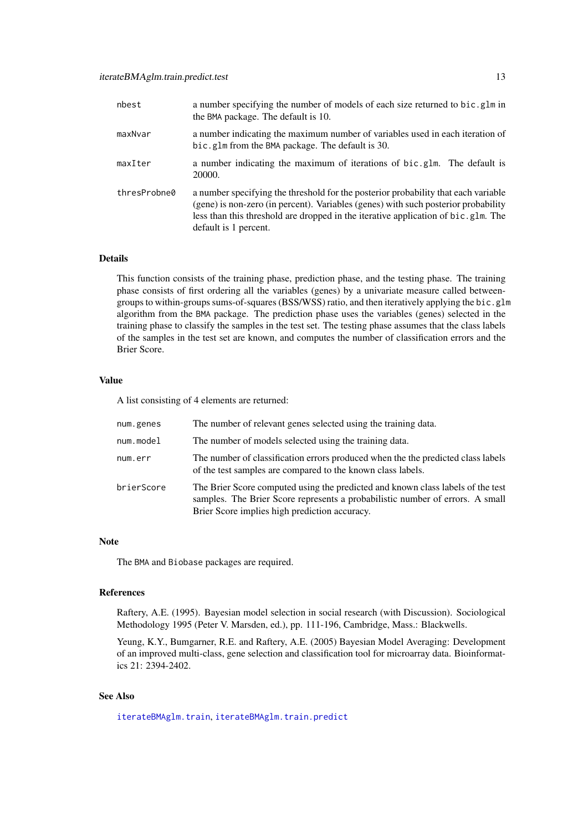<span id="page-12-0"></span>

| nbest        | a number specifying the number of models of each size returned to bic.glm in<br>the BMA package. The default is 10.                                                                                                                                                                    |
|--------------|----------------------------------------------------------------------------------------------------------------------------------------------------------------------------------------------------------------------------------------------------------------------------------------|
| maxNvar      | a number indicating the maximum number of variables used in each iteration of<br>bic.glm from the BMA package. The default is 30.                                                                                                                                                      |
| maxIter      | a number indicating the maximum of iterations of bic.glm. The default is<br>20000.                                                                                                                                                                                                     |
| thresProbne0 | a number specifying the threshold for the posterior probability that each variable<br>(gene) is non-zero (in percent). Variables (genes) with such posterior probability<br>less than this threshold are dropped in the iterative application of bic.glm. The<br>default is 1 percent. |

This function consists of the training phase, prediction phase, and the testing phase. The training phase consists of first ordering all the variables (genes) by a univariate measure called betweengroups to within-groups sums-of-squares (BSS/WSS) ratio, and then iteratively applying the bic.glm algorithm from the BMA package. The prediction phase uses the variables (genes) selected in the training phase to classify the samples in the test set. The testing phase assumes that the class labels of the samples in the test set are known, and computes the number of classification errors and the Brier Score.

## Value

A list consisting of 4 elements are returned:

| num.genes  | The number of relevant genes selected using the training data.                                                                                                                                                    |
|------------|-------------------------------------------------------------------------------------------------------------------------------------------------------------------------------------------------------------------|
| num.model  | The number of models selected using the training data.                                                                                                                                                            |
| num.err    | The number of classification errors produced when the the predicted class labels<br>of the test samples are compared to the known class labels.                                                                   |
| brierScore | The Brier Score computed using the predicted and known class labels of the test<br>samples. The Brier Score represents a probabilistic number of errors. A small<br>Brier Score implies high prediction accuracy. |

#### Note

The BMA and Biobase packages are required.

#### References

Raftery, A.E. (1995). Bayesian model selection in social research (with Discussion). Sociological Methodology 1995 (Peter V. Marsden, ed.), pp. 111-196, Cambridge, Mass.: Blackwells.

Yeung, K.Y., Bumgarner, R.E. and Raftery, A.E. (2005) Bayesian Model Averaging: Development of an improved multi-class, gene selection and classification tool for microarray data. Bioinformatics 21: 2394-2402.

## See Also

[iterateBMAglm.train](#page-7-1), [iterateBMAglm.train.predict](#page-9-1)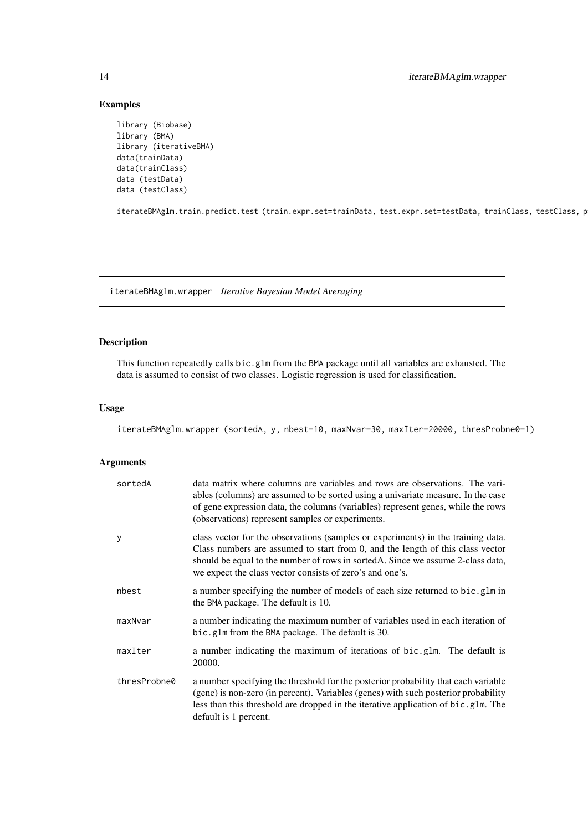## Examples

```
library (Biobase)
library (BMA)
library (iterativeBMA)
data(trainData)
data(trainClass)
data (testData)
data (testClass)
```
iterateBMAglm.train.predict.test (train.expr.set=trainData, test.expr.set=testData, trainClass, testClass, p=100)

iterateBMAglm.wrapper *Iterative Bayesian Model Averaging*

## Description

This function repeatedly calls bic.glm from the BMA package until all variables are exhausted. The data is assumed to consist of two classes. Logistic regression is used for classification.

## Usage

iterateBMAglm.wrapper (sortedA, y, nbest=10, maxNvar=30, maxIter=20000, thresProbne0=1)

#### Arguments

| sortedA      | data matrix where columns are variables and rows are observations. The vari-<br>ables (columns) are assumed to be sorted using a univariate measure. In the case<br>of gene expression data, the columns (variables) represent genes, while the rows<br>(observations) represent samples or experiments.           |
|--------------|--------------------------------------------------------------------------------------------------------------------------------------------------------------------------------------------------------------------------------------------------------------------------------------------------------------------|
| У            | class vector for the observations (samples or experiments) in the training data.<br>Class numbers are assumed to start from 0, and the length of this class vector<br>should be equal to the number of rows in sorted A. Since we assume 2-class data,<br>we expect the class vector consists of zero's and one's. |
| nbest        | a number specifying the number of models of each size returned to bic.glm in<br>the BMA package. The default is 10.                                                                                                                                                                                                |
| maxNvar      | a number indicating the maximum number of variables used in each iteration of<br>bic.glm from the BMA package. The default is 30.                                                                                                                                                                                  |
| maxIter      | a number indicating the maximum of iterations of bic.glm. The default is<br>20000.                                                                                                                                                                                                                                 |
| thresProbne0 | a number specifying the threshold for the posterior probability that each variable<br>(gene) is non-zero (in percent). Variables (genes) with such posterior probability<br>less than this threshold are dropped in the iterative application of bic.glm. The<br>default is 1 percent.                             |

<span id="page-13-0"></span>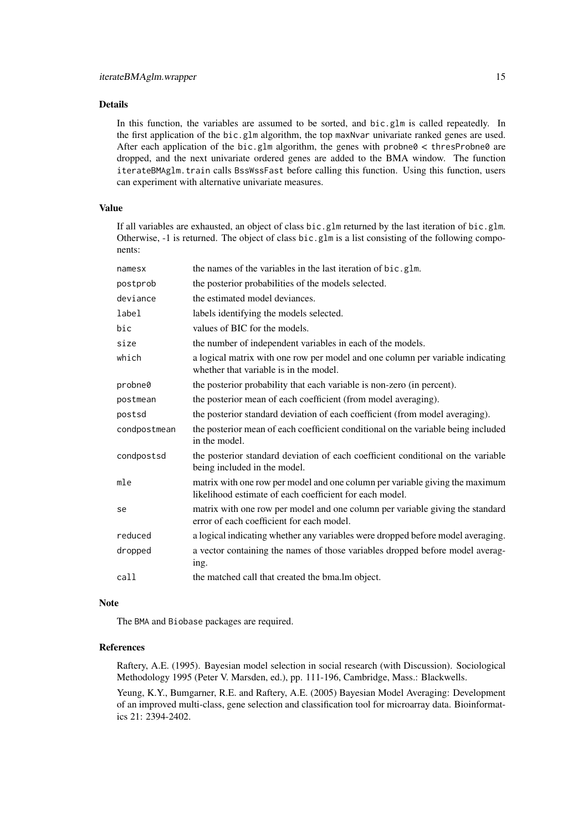In this function, the variables are assumed to be sorted, and bic.glm is called repeatedly. In the first application of the bic.glm algorithm, the top maxNvar univariate ranked genes are used. After each application of the bic.glm algorithm, the genes with probne $0 <$  thresProbne $0$  are dropped, and the next univariate ordered genes are added to the BMA window. The function iterateBMAglm.train calls BssWssFast before calling this function. Using this function, users can experiment with alternative univariate measures.

## Value

If all variables are exhausted, an object of class bic.glm returned by the last iteration of bic.glm. Otherwise,  $-1$  is returned. The object of class bic.glm is a list consisting of the following components:

| namesx       | the names of the variables in the last iteration of bic.glm.                                                                            |
|--------------|-----------------------------------------------------------------------------------------------------------------------------------------|
| postprob     | the posterior probabilities of the models selected.                                                                                     |
| deviance     | the estimated model deviances.                                                                                                          |
| label        | labels identifying the models selected.                                                                                                 |
| bic          | values of BIC for the models.                                                                                                           |
| size         | the number of independent variables in each of the models.                                                                              |
| which        | a logical matrix with one row per model and one column per variable indicating<br>whether that variable is in the model.                |
| probne0      | the posterior probability that each variable is non-zero (in percent).                                                                  |
| postmean     | the posterior mean of each coefficient (from model averaging).                                                                          |
| postsd       | the posterior standard deviation of each coefficient (from model averaging).                                                            |
| condpostmean | the posterior mean of each coefficient conditional on the variable being included<br>in the model.                                      |
| condpostsd   | the posterior standard deviation of each coefficient conditional on the variable<br>being included in the model.                        |
| mle          | matrix with one row per model and one column per variable giving the maximum<br>likelihood estimate of each coefficient for each model. |
| se           | matrix with one row per model and one column per variable giving the standard<br>error of each coefficient for each model.              |
| reduced      | a logical indicating whether any variables were dropped before model averaging.                                                         |
| dropped      | a vector containing the names of those variables dropped before model averag-<br>ing.                                                   |
| call         | the matched call that created the bma.lm object.                                                                                        |
|              |                                                                                                                                         |

#### Note

The BMA and Biobase packages are required.

## References

Raftery, A.E. (1995). Bayesian model selection in social research (with Discussion). Sociological Methodology 1995 (Peter V. Marsden, ed.), pp. 111-196, Cambridge, Mass.: Blackwells.

Yeung, K.Y., Bumgarner, R.E. and Raftery, A.E. (2005) Bayesian Model Averaging: Development of an improved multi-class, gene selection and classification tool for microarray data. Bioinformatics 21: 2394-2402.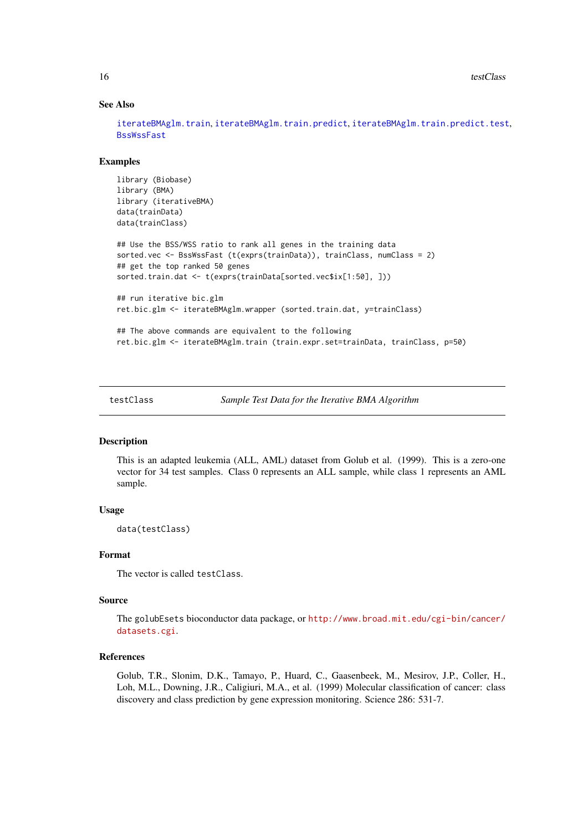#### See Also

[iterateBMAglm.train](#page-7-1), [iterateBMAglm.train.predict](#page-9-1), [iterateBMAglm.train.predict.test](#page-11-1), [BssWssFast](#page-4-1)

## Examples

```
library (Biobase)
library (BMA)
library (iterativeBMA)
data(trainData)
data(trainClass)
## Use the BSS/WSS ratio to rank all genes in the training data
sorted.vec <- BssWssFast (t(exprs(trainData)), trainClass, numClass = 2)
## get the top ranked 50 genes
sorted.train.dat <- t(exprs(trainData[sorted.vec$ix[1:50], ]))
## run iterative bic.glm
ret.bic.glm <- iterateBMAglm.wrapper (sorted.train.dat, y=trainClass)
## The above commands are equivalent to the following
ret.bic.glm <- iterateBMAglm.train (train.expr.set=trainData, trainClass, p=50)
```
testClass *Sample Test Data for the Iterative BMA Algorithm*

## Description

This is an adapted leukemia (ALL, AML) dataset from Golub et al. (1999). This is a zero-one vector for 34 test samples. Class 0 represents an ALL sample, while class 1 represents an AML sample.

## Usage

data(testClass)

#### Format

The vector is called testClass.

#### Source

The golubEsets bioconductor data package, or [http://www.broad.mit.edu/cgi-bin/cancer/](http://www.broad.mit.edu/cgi-bin/cancer/datasets.cgi) [datasets.cgi](http://www.broad.mit.edu/cgi-bin/cancer/datasets.cgi).

## References

Golub, T.R., Slonim, D.K., Tamayo, P., Huard, C., Gaasenbeek, M., Mesirov, J.P., Coller, H., Loh, M.L., Downing, J.R., Caligiuri, M.A., et al. (1999) Molecular classification of cancer: class discovery and class prediction by gene expression monitoring. Science 286: 531-7.

<span id="page-15-0"></span>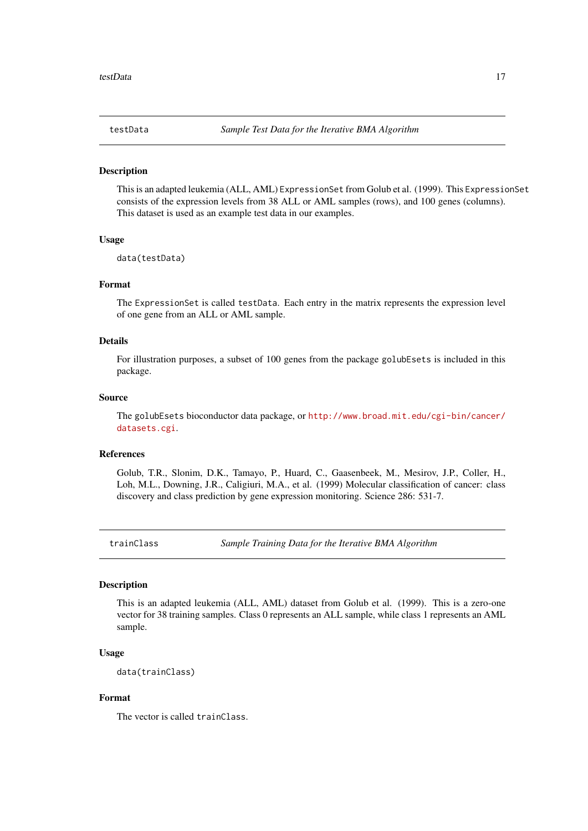<span id="page-16-0"></span>

#### Description

This is an adapted leukemia (ALL, AML) ExpressionSet from Golub et al. (1999). This ExpressionSet consists of the expression levels from 38 ALL or AML samples (rows), and 100 genes (columns). This dataset is used as an example test data in our examples.

#### Usage

data(testData)

#### Format

The ExpressionSet is called testData. Each entry in the matrix represents the expression level of one gene from an ALL or AML sample.

## Details

For illustration purposes, a subset of 100 genes from the package golubEsets is included in this package.

#### Source

The golubEsets bioconductor data package, or [http://www.broad.mit.edu/cgi-bin/cancer/](http://www.broad.mit.edu/cgi-bin/cancer/datasets.cgi) [datasets.cgi](http://www.broad.mit.edu/cgi-bin/cancer/datasets.cgi).

#### References

Golub, T.R., Slonim, D.K., Tamayo, P., Huard, C., Gaasenbeek, M., Mesirov, J.P., Coller, H., Loh, M.L., Downing, J.R., Caligiuri, M.A., et al. (1999) Molecular classification of cancer: class discovery and class prediction by gene expression monitoring. Science 286: 531-7.

<span id="page-16-1"></span>trainClass *Sample Training Data for the Iterative BMA Algorithm*

#### Description

This is an adapted leukemia (ALL, AML) dataset from Golub et al. (1999). This is a zero-one vector for 38 training samples. Class 0 represents an ALL sample, while class 1 represents an AML sample.

#### Usage

data(trainClass)

## Format

The vector is called trainClass.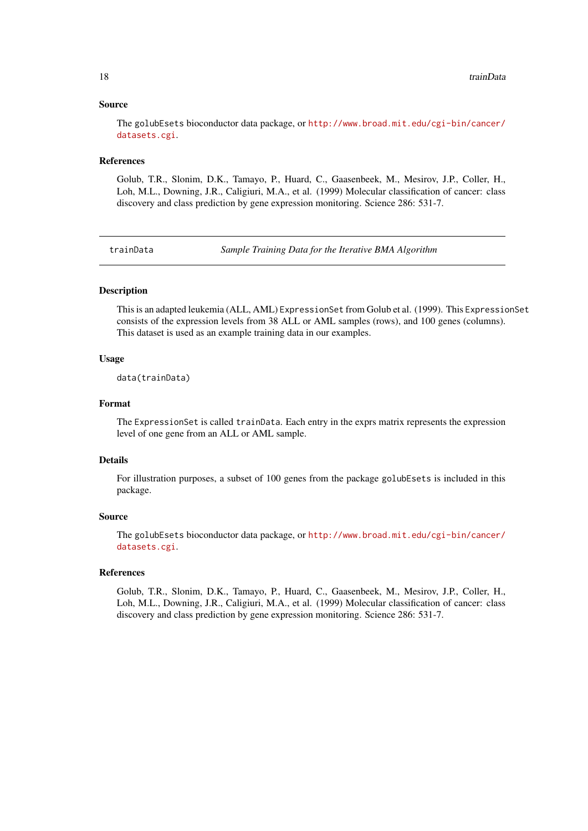#### Source

The golubEsets bioconductor data package, or [http://www.broad.mit.edu/cgi-bin/cancer/](http://www.broad.mit.edu/cgi-bin/cancer/datasets.cgi) [datasets.cgi](http://www.broad.mit.edu/cgi-bin/cancer/datasets.cgi).

## References

Golub, T.R., Slonim, D.K., Tamayo, P., Huard, C., Gaasenbeek, M., Mesirov, J.P., Coller, H., Loh, M.L., Downing, J.R., Caligiuri, M.A., et al. (1999) Molecular classification of cancer: class discovery and class prediction by gene expression monitoring. Science 286: 531-7.

<span id="page-17-1"></span>trainData *Sample Training Data for the Iterative BMA Algorithm*

#### **Description**

This is an adapted leukemia (ALL, AML) ExpressionSet from Golub et al. (1999). This ExpressionSet consists of the expression levels from 38 ALL or AML samples (rows), and 100 genes (columns). This dataset is used as an example training data in our examples.

#### Usage

data(trainData)

## Format

The ExpressionSet is called trainData. Each entry in the exprs matrix represents the expression level of one gene from an ALL or AML sample.

## Details

For illustration purposes, a subset of 100 genes from the package golubEsets is included in this package.

## Source

The golubEsets bioconductor data package, or [http://www.broad.mit.edu/cgi-bin/cancer/](http://www.broad.mit.edu/cgi-bin/cancer/datasets.cgi) [datasets.cgi](http://www.broad.mit.edu/cgi-bin/cancer/datasets.cgi).

#### References

Golub, T.R., Slonim, D.K., Tamayo, P., Huard, C., Gaasenbeek, M., Mesirov, J.P., Coller, H., Loh, M.L., Downing, J.R., Caligiuri, M.A., et al. (1999) Molecular classification of cancer: class discovery and class prediction by gene expression monitoring. Science 286: 531-7.

<span id="page-17-0"></span>